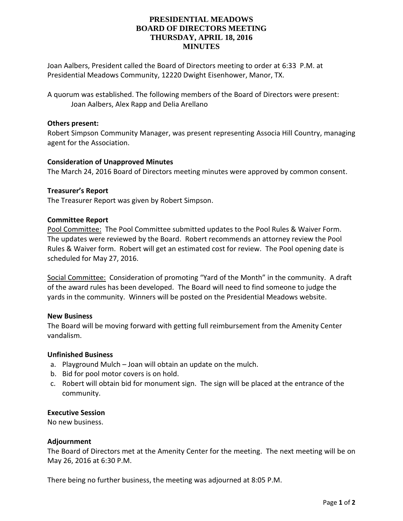## **PRESIDENTIAL MEADOWS BOARD OF DIRECTORS MEETING THURSDAY, APRIL 18, 2016 MINUTES**

Joan Aalbers, President called the Board of Directors meeting to order at 6:33 P.M. at Presidential Meadows Community, 12220 Dwight Eisenhower, Manor, TX.

A quorum was established. The following members of the Board of Directors were present: Joan Aalbers, Alex Rapp and Delia Arellano

## **Others present:**

Robert Simpson Community Manager, was present representing Associa Hill Country, managing agent for the Association.

## **Consideration of Unapproved Minutes**

The March 24, 2016 Board of Directors meeting minutes were approved by common consent.

#### **Treasurer's Report**

The Treasurer Report was given by Robert Simpson.

#### **Committee Report**

Pool Committee: The Pool Committee submitted updates to the Pool Rules & Waiver Form. The updates were reviewed by the Board. Robert recommends an attorney review the Pool Rules & Waiver form. Robert will get an estimated cost for review. The Pool opening date is scheduled for May 27, 2016.

Social Committee: Consideration of promoting "Yard of the Month" in the community. A draft of the award rules has been developed. The Board will need to find someone to judge the yards in the community. Winners will be posted on the Presidential Meadows website.

#### **New Business**

The Board will be moving forward with getting full reimbursement from the Amenity Center vandalism.

#### **Unfinished Business**

- a. Playground Mulch Joan will obtain an update on the mulch.
- b. Bid for pool motor covers is on hold.
- c. Robert will obtain bid for monument sign. The sign will be placed at the entrance of the community.

## **Executive Session**

No new business.

#### **Adjournment**

The Board of Directors met at the Amenity Center for the meeting. The next meeting will be on May 26, 2016 at 6:30 P.M.

There being no further business, the meeting was adjourned at 8:05 P.M.